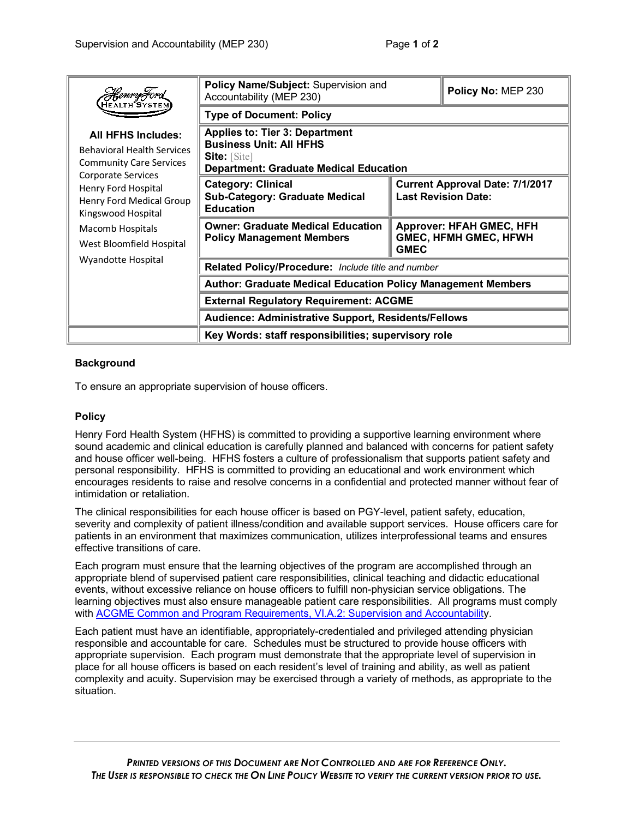| HEALTH <sup>2</sup> SYSTI<br><b>All HFHS Includes:</b><br><b>Behavioral Health Services</b><br><b>Community Care Services</b><br>Corporate Services<br>Henry Ford Hospital<br>Henry Ford Medical Group<br>Kingswood Hospital<br>Macomb Hospitals<br>West Bloomfield Hospital<br>Wyandotte Hospital | Policy Name/Subject: Supervision and<br>Accountability (MEP 230)                                                                         |                                                                                | Policy No: MEP 230 |
|----------------------------------------------------------------------------------------------------------------------------------------------------------------------------------------------------------------------------------------------------------------------------------------------------|------------------------------------------------------------------------------------------------------------------------------------------|--------------------------------------------------------------------------------|--------------------|
|                                                                                                                                                                                                                                                                                                    | <b>Type of Document: Policy</b>                                                                                                          |                                                                                |                    |
|                                                                                                                                                                                                                                                                                                    | <b>Applies to: Tier 3: Department</b><br><b>Business Unit: All HFHS</b><br>Site: [Site]<br><b>Department: Graduate Medical Education</b> |                                                                                |                    |
|                                                                                                                                                                                                                                                                                                    | <b>Category: Clinical</b><br><b>Sub-Category: Graduate Medical</b><br><b>Education</b>                                                   | <b>Current Approval Date: 7/1/2017</b><br><b>Last Revision Date:</b>           |                    |
|                                                                                                                                                                                                                                                                                                    | <b>Owner: Graduate Medical Education</b><br><b>Policy Management Members</b>                                                             | <b>Approver: HFAH GMEC, HFH</b><br><b>GMEC, HFMH GMEC, HFWH</b><br><b>GMEC</b> |                    |
|                                                                                                                                                                                                                                                                                                    | Related Policy/Procedure: Include title and number                                                                                       |                                                                                |                    |
|                                                                                                                                                                                                                                                                                                    | <b>Author: Graduate Medical Education Policy Management Members</b>                                                                      |                                                                                |                    |
|                                                                                                                                                                                                                                                                                                    | <b>External Regulatory Requirement: ACGME</b>                                                                                            |                                                                                |                    |
|                                                                                                                                                                                                                                                                                                    | <b>Audience: Administrative Support, Residents/Fellows</b>                                                                               |                                                                                |                    |
|                                                                                                                                                                                                                                                                                                    | Key Words: staff responsibilities; supervisory role                                                                                      |                                                                                |                    |

## **Background**

To ensure an appropriate supervision of house officers.

## **Policy**

Henry Ford Health System (HFHS) is committed to providing a supportive learning environment where sound academic and clinical education is carefully planned and balanced with concerns for patient safety and house officer well-being. HFHS fosters a culture of professionalism that supports patient safety and personal responsibility. HFHS is committed to providing an educational and work environment which encourages residents to raise and resolve concerns in a confidential and protected manner without fear of intimidation or retaliation.

The clinical responsibilities for each house officer is based on PGY-level, patient safety, education, severity and complexity of patient illness/condition and available support services. House officers care for patients in an environment that maximizes communication, utilizes interprofessional teams and ensures effective transitions of care.

Each program must ensure that the learning objectives of the program are accomplished through an appropriate blend of supervised patient care responsibilities, clinical teaching and didactic educational events, without excessive reliance on house officers to fulfill non-physician service obligations. The learning objectives must also ensure manageable patient care responsibilities. All programs must comply with ACGME Common and Program Requirements, VI.A.2: Supervision and Accountability.

Each patient must have an identifiable, appropriately-credentialed and privileged attending physician responsible and accountable for care. Schedules must be structured to provide house officers with appropriate supervision. Each program must demonstrate that the appropriate level of supervision in place for all house officers is based on each resident's level of training and ability, as well as patient complexity and acuity. Supervision may be exercised through a variety of methods, as appropriate to the situation.